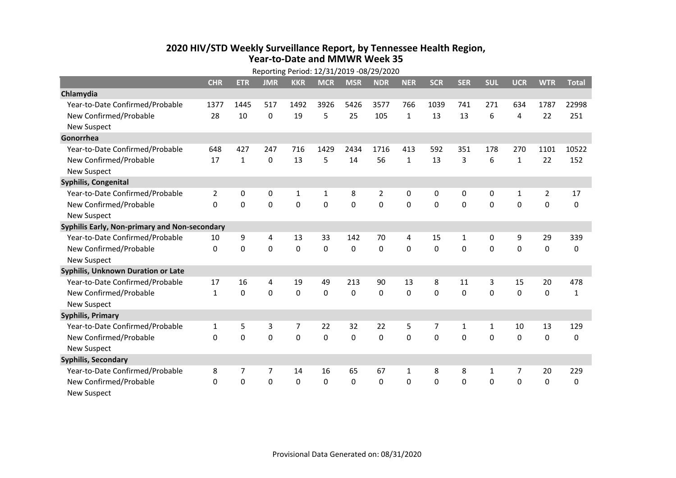## **2020 HIV/STD Weekly Surveillance Report, by Tennessee Health Region, Year-to-Date and MMWR Week 35**

|                                               | Reporting Period: 12/31/2019 -08/29/2020 |              |            |             |              |              |                |              |            |              |              |              |                |              |
|-----------------------------------------------|------------------------------------------|--------------|------------|-------------|--------------|--------------|----------------|--------------|------------|--------------|--------------|--------------|----------------|--------------|
|                                               | <b>CHR</b>                               | <b>ETR</b>   | <b>JMR</b> | <b>KKR</b>  | <b>MCR</b>   | <b>MSR</b>   | <b>NDR</b>     | <b>NER</b>   | <b>SCR</b> | <b>SER</b>   | <b>SUL</b>   | <b>UCR</b>   | <b>WTR</b>     | <b>Total</b> |
| Chlamydia                                     |                                          |              |            |             |              |              |                |              |            |              |              |              |                |              |
| Year-to-Date Confirmed/Probable               | 1377                                     | 1445         | 517        | 1492        | 3926         | 5426         | 3577           | 766          | 1039       | 741          | 271          | 634          | 1787           | 22998        |
| New Confirmed/Probable                        | 28                                       | 10           | 0          | 19          | 5            | 25           | 105            | $\mathbf{1}$ | 13         | 13           | 6            | 4            | 22             | 251          |
| <b>New Suspect</b>                            |                                          |              |            |             |              |              |                |              |            |              |              |              |                |              |
| Gonorrhea                                     |                                          |              |            |             |              |              |                |              |            |              |              |              |                |              |
| Year-to-Date Confirmed/Probable               | 648                                      | 427          | 247        | 716         | 1429         | 2434         | 1716           | 413          | 592        | 351          | 178          | 270          | 1101           | 10522        |
| New Confirmed/Probable                        | 17                                       | $\mathbf{1}$ | 0          | 13          | 5            | 14           | 56             | $\mathbf{1}$ | 13         | 3            | 6            | $\mathbf{1}$ | 22             | 152          |
| <b>New Suspect</b>                            |                                          |              |            |             |              |              |                |              |            |              |              |              |                |              |
| Syphilis, Congenital                          |                                          |              |            |             |              |              |                |              |            |              |              |              |                |              |
| Year-to-Date Confirmed/Probable               | $\overline{2}$                           | 0            | 0          | $\mathbf 1$ | $\mathbf{1}$ | 8            | $\overline{2}$ | 0            | 0          | 0            | 0            | 1            | $\overline{2}$ | 17           |
| New Confirmed/Probable                        | $\Omega$                                 | 0            | 0          | $\mathbf 0$ | 0            | $\mathbf 0$  | $\mathbf 0$    | 0            | 0          | $\Omega$     | 0            | 0            | $\mathbf 0$    | 0            |
| <b>New Suspect</b>                            |                                          |              |            |             |              |              |                |              |            |              |              |              |                |              |
| Syphilis Early, Non-primary and Non-secondary |                                          |              |            |             |              |              |                |              |            |              |              |              |                |              |
| Year-to-Date Confirmed/Probable               | 10                                       | 9            | 4          | 13          | 33           | 142          | 70             | 4            | 15         | $\mathbf{1}$ | 0            | 9            | 29             | 339          |
| New Confirmed/Probable                        | $\Omega$                                 | 0            | 0          | $\Omega$    | $\Omega$     | $\mathbf{0}$ | $\Omega$       | $\Omega$     | $\Omega$   | $\Omega$     | 0            | $\Omega$     | 0              | 0            |
| <b>New Suspect</b>                            |                                          |              |            |             |              |              |                |              |            |              |              |              |                |              |
| Syphilis, Unknown Duration or Late            |                                          |              |            |             |              |              |                |              |            |              |              |              |                |              |
| Year-to-Date Confirmed/Probable               | 17                                       | 16           | 4          | 19          | 49           | 213          | 90             | 13           | 8          | 11           | 3            | 15           | 20             | 478          |
| New Confirmed/Probable                        | $\mathbf{1}$                             | 0            | $\Omega$   | $\Omega$    | $\Omega$     | $\mathbf{0}$ | $\Omega$       | $\Omega$     | $\Omega$   | $\mathbf{0}$ | $\Omega$     | $\Omega$     | $\mathbf{0}$   | $\mathbf{1}$ |
| <b>New Suspect</b>                            |                                          |              |            |             |              |              |                |              |            |              |              |              |                |              |
| <b>Syphilis, Primary</b>                      |                                          |              |            |             |              |              |                |              |            |              |              |              |                |              |
| Year-to-Date Confirmed/Probable               | $\mathbf{1}$                             | 5            | 3          | 7           | 22           | 32           | 22             | 5            | 7          | $\mathbf{1}$ | $\mathbf{1}$ | 10           | 13             | 129          |
| New Confirmed/Probable                        | 0                                        | 0            | 0          | 0           | 0            | $\mathbf{0}$ | 0              | $\Omega$     | 0          | $\mathbf{0}$ | 0            | 0            | $\mathbf{0}$   | 0            |
| <b>New Suspect</b>                            |                                          |              |            |             |              |              |                |              |            |              |              |              |                |              |
| <b>Syphilis, Secondary</b>                    |                                          |              |            |             |              |              |                |              |            |              |              |              |                |              |
| Year-to-Date Confirmed/Probable               | 8                                        | 7            | 7          | 14          | 16           | 65           | 67             | 1            | 8          | 8            | 1            | 7            | 20             | 229          |
| New Confirmed/Probable                        | 0                                        | 0            | 0          | 0           | 0            | $\mathbf{0}$ | 0              | $\Omega$     | $\Omega$   | $\mathbf{0}$ | 0            | 0            | $\mathbf{0}$   | 0            |
| <b>New Suspect</b>                            |                                          |              |            |             |              |              |                |              |            |              |              |              |                |              |